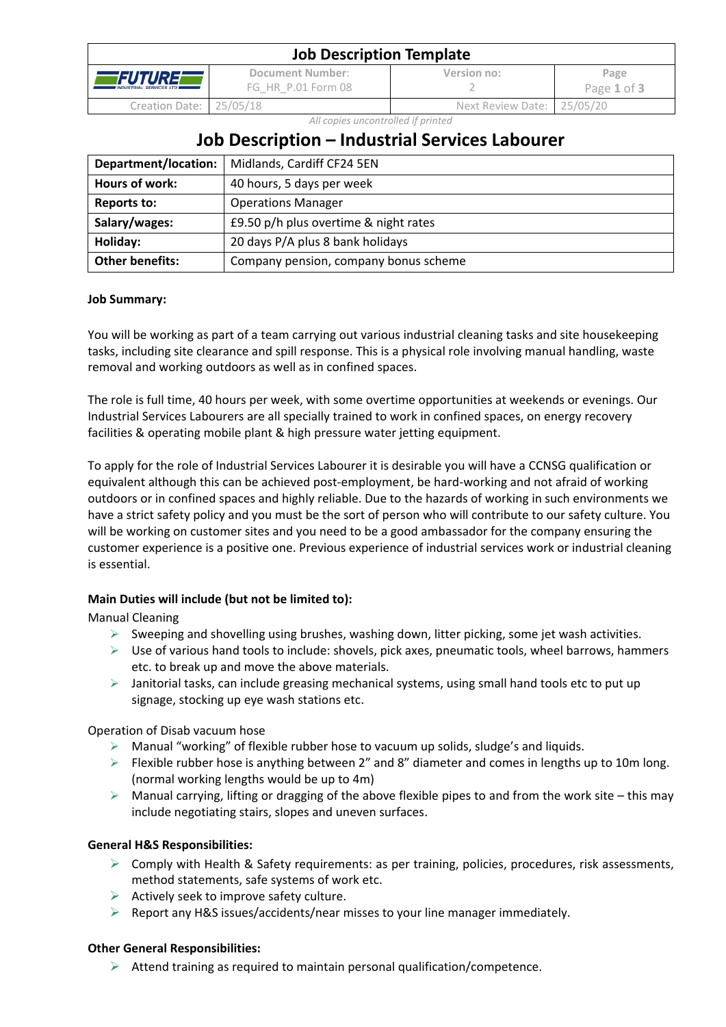| <b>Job Description Template</b>            |                                        |                            |                     |  |
|--------------------------------------------|----------------------------------------|----------------------------|---------------------|--|
| TFUTUREL<br><b>INDUSTRIAL SERVICES LTD</b> | Document Number:<br>FG HR P.01 Form 08 | Version no:                | Page<br>Page 1 of 3 |  |
| Creation Date: 25/05/18                    |                                        | Next Review Date: 25/05/20 |                     |  |

*All copies uncontrolled if printed*

# **Job Description – Industrial Services Labourer**

| Department/location:   | Midlands, Cardiff CF24 5EN            |
|------------------------|---------------------------------------|
| Hours of work:         | 40 hours, 5 days per week             |
| <b>Reports to:</b>     | <b>Operations Manager</b>             |
| Salary/wages:          | £9.50 p/h plus overtime & night rates |
| Holiday:               | 20 days P/A plus 8 bank holidays      |
| <b>Other benefits:</b> | Company pension, company bonus scheme |

## **Job Summary:**

You will be working as part of a team carrying out various industrial cleaning tasks and site housekeeping tasks, including site clearance and spill response. This is a physical role involving manual handling, waste removal and working outdoors as well as in confined spaces.

The role is full time, 40 hours per week, with some overtime opportunities at weekends or evenings. Our Industrial Services Labourers are all specially trained to work in confined spaces, on energy recovery facilities & operating mobile plant & high pressure water jetting equipment.

To apply for the role of Industrial Services Labourer it is desirable you will have a CCNSG qualification or equivalent although this can be achieved post-employment, be hard-working and not afraid of working outdoors or in confined spaces and highly reliable. Due to the hazards of working in such environments we have a strict safety policy and you must be the sort of person who will contribute to our safety culture. You will be working on customer sites and you need to be a good ambassador for the company ensuring the customer experience is a positive one. Previous experience of industrial services work or industrial cleaning is essential.

## **Main Duties will include (but not be limited to):**

Manual Cleaning

- $\triangleright$  Sweeping and shovelling using brushes, washing down, litter picking, some jet wash activities.
- $\triangleright$  Use of various hand tools to include: shovels, pick axes, pneumatic tools, wheel barrows, hammers etc. to break up and move the above materials.
- $\triangleright$  Janitorial tasks, can include greasing mechanical systems, using small hand tools etc to put up signage, stocking up eye wash stations etc.

Operation of Disab vacuum hose

- $\triangleright$  Manual "working" of flexible rubber hose to vacuum up solids, sludge's and liquids.
- $\triangleright$  Flexible rubber hose is anything between 2" and 8" diameter and comes in lengths up to 10m long. (normal working lengths would be up to 4m)
- $\triangleright$  Manual carrying, lifting or dragging of the above flexible pipes to and from the work site this may include negotiating stairs, slopes and uneven surfaces.

## **General H&S Responsibilities:**

- $\triangleright$  Comply with Health & Safety requirements: as per training, policies, procedures, risk assessments, method statements, safe systems of work etc.
- $\triangleright$  Actively seek to improve safety culture.
- $\triangleright$  Report any H&S issues/accidents/near misses to your line manager immediately.

## **Other General Responsibilities:**

 $\triangleright$  Attend training as required to maintain personal qualification/competence.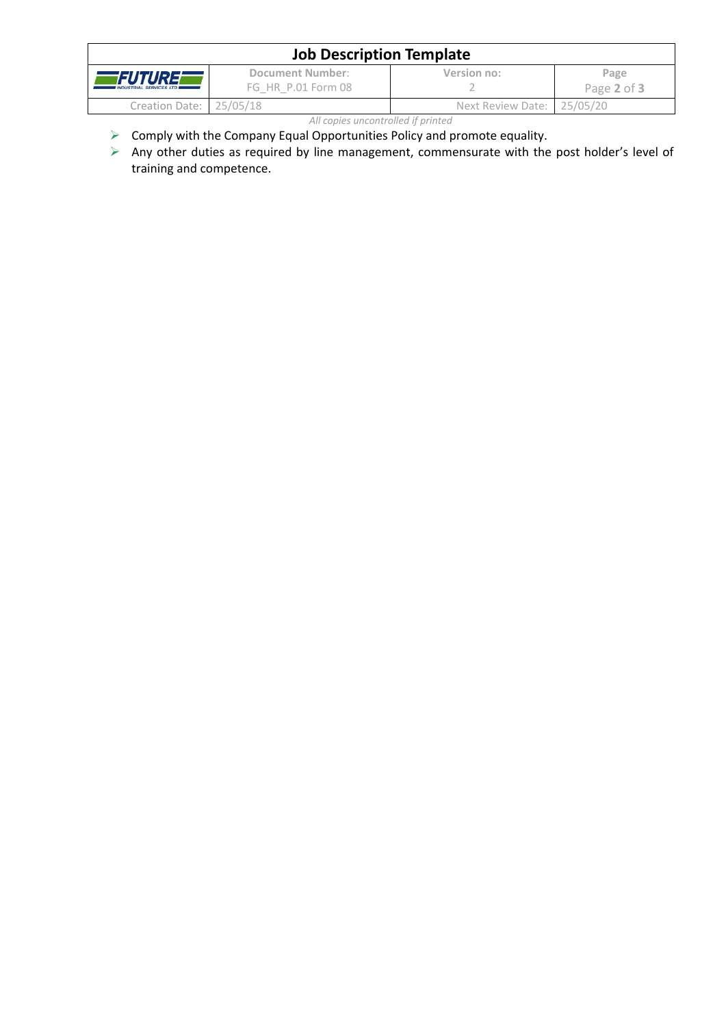| <b>Job Description Template</b>            |                                               |                            |                     |  |  |
|--------------------------------------------|-----------------------------------------------|----------------------------|---------------------|--|--|
| FUTUREE<br><b>INDUSTRIAL SERVICES LTD.</b> | <b>Document Number:</b><br>FG HR P.01 Form 08 | Version no:                | Page<br>Page 2 of 3 |  |  |
| Creation Date: 25/05/18                    |                                               | Next Review Date: 25/05/20 |                     |  |  |
| All copies uncontrolled if printed         |                                               |                            |                     |  |  |

- $\triangleright$  Comply with the Company Equal Opportunities Policy and promote equality.
- $\triangleright$  Any other duties as required by line management, commensurate with the post holder's level of training and competence.